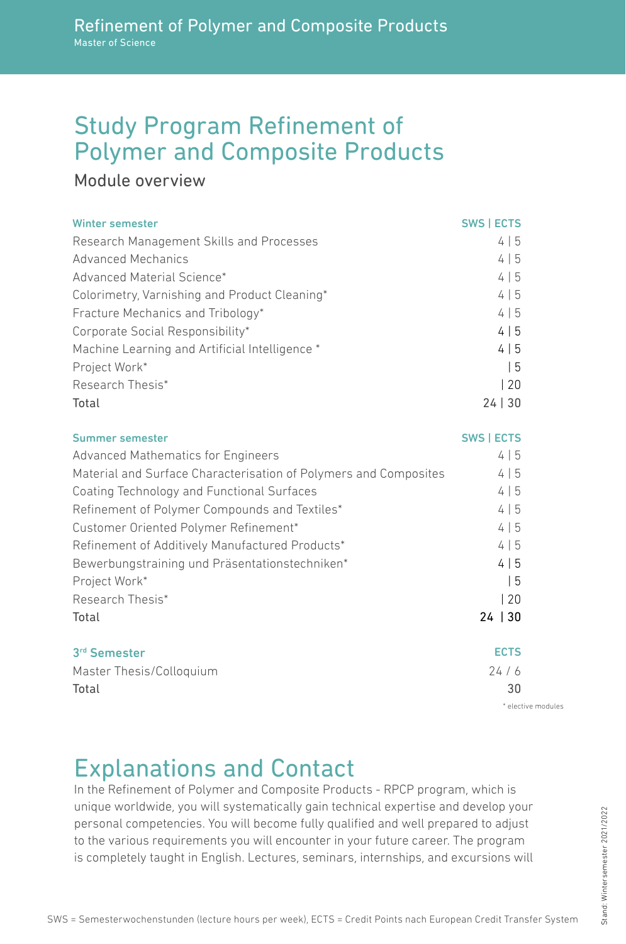## Study Program Refinement of Polymer and Composite Products

### Module overview

| <b>Winter semester</b>                         | <b>SWS   ECTS</b> |
|------------------------------------------------|-------------------|
| Research Management Skills and Processes       | 4 5               |
| Advanced Mechanics                             | 4 5               |
| Advanced Material Science*                     | 4 5               |
| Colorimetry, Varnishing and Product Cleaning*  | 4 5               |
| Fracture Mechanics and Tribology*              | 4 5               |
| Corporate Social Responsibility*               | 4 5               |
| Machine Learning and Artificial Intelligence * | 4 5               |
| Project Work*                                  | I 5               |
| Research Thesis*                               | 20                |
| Total                                          | 24 30             |

| Summer semester                                                  | <b>SWS   ECTS</b> |
|------------------------------------------------------------------|-------------------|
| Advanced Mathematics for Engineers                               | 4 5               |
| Material and Surface Characterisation of Polymers and Composites | 4 5               |
| Coating Technology and Functional Surfaces                       | 4 5               |
| Refinement of Polymer Compounds and Textiles*                    | 4 5               |
| Customer Oriented Polymer Refinement*                            | 4 5               |
| Refinement of Additively Manufactured Products*                  | 4 5               |
| Bewerbungstraining und Präsentationstechniken*                   | 4 5               |
| Project Work*                                                    | l 5               |
| Research Thesis*                                                 | 20                |
| Total                                                            | $24 \mid 30$      |
| 3rd Semester                                                     | <b>ECTS</b>       |
| Master Thesis/Colloquium                                         | 24/6              |
| Total                                                            | 30                |

\* elective modules

# Explanations and Contact

In the Refinement of Polymer and Composite Products - RPCP program, which is unique worldwide, you will systematically gain technical expertise and develop your personal competencies. You will become fully qualified and well prepared to adjust to the various requirements you will encounter in your future career. The program is completely taught in English. Lectures, seminars, internships, and excursions will